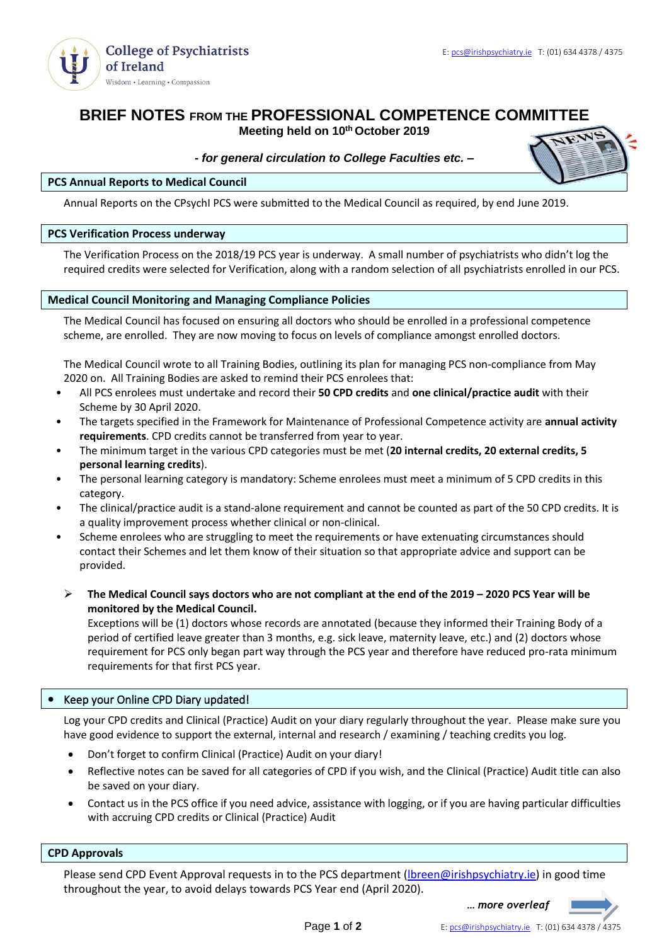

# **BRIEF NOTES FROM THE PROFESSIONAL COMPETENCE COMMITTEE**

**Meeting held on 10th October 2019**

# *- for general circulation to College Faculties etc. –*



#### **PCS Annual Reports to Medical Council**

Annual Reports on the CPsychI PCS were submitted to the Medical Council as required, by end June 2019.

## **PCS Verification Process underway**

The Verification Process on the 2018/19 PCS year is underway. A small number of psychiatrists who didn't log the required credits were selected for Verification, along with a random selection of all psychiatrists enrolled in our PCS.

## **Medical Council Monitoring and Managing Compliance Policies**

The Medical Council has focused on ensuring all doctors who should be enrolled in a professional competence scheme, are enrolled. They are now moving to focus on levels of compliance amongst enrolled doctors.

The Medical Council wrote to all Training Bodies, outlining its plan for managing PCS non-compliance from May 2020 on. All Training Bodies are asked to remind their PCS enrolees that:

- All PCS enrolees must undertake and record their **50 CPD credits** and **one clinical/practice audit** with their Scheme by 30 April 2020.
- The targets specified in the Framework for Maintenance of Professional Competence activity are **annual activity requirements**. CPD credits cannot be transferred from year to year.
- The minimum target in the various CPD categories must be met (**20 internal credits, 20 external credits, 5 personal learning credits**).
- The personal learning category is mandatory: Scheme enrolees must meet a minimum of 5 CPD credits in this category.
- The clinical/practice audit is a stand-alone requirement and cannot be counted as part of the 50 CPD credits. It is a quality improvement process whether clinical or non-clinical.
- Scheme enrolees who are struggling to meet the requirements or have extenuating circumstances should contact their Schemes and let them know of their situation so that appropriate advice and support can be provided.
- ➢ **The Medical Council says doctors who are not compliant at the end of the 2019 – 2020 PCS Year will be monitored by the Medical Council.**

Exceptions will be (1) doctors whose records are annotated (because they informed their Training Body of a period of certified leave greater than 3 months, e.g. sick leave, maternity leave, etc.) and (2) doctors whose requirement for PCS only began part way through the PCS year and therefore have reduced pro-rata minimum requirements for that first PCS year.

# • Keep your Online CPD Diary updated!

Log your CPD credits and Clinical (Practice) Audit on your diary regularly throughout the year. Please make sure you have good evidence to support the external, internal and research / examining / teaching credits you log.

- Don't forget to confirm Clinical (Practice) Audit on your diary!
- Reflective notes can be saved for all categories of CPD if you wish, and the Clinical (Practice) Audit title can also be saved on your diary.
- Contact us in the PCS office if you need advice, assistance with logging, or if you are having particular difficulties with accruing CPD credits or Clinical (Practice) Audit

### **CPD Approvals**

Please send CPD Event Approval requests in to the PCS department (*Ibreen@irishpsychiatry.ie*) in good time throughout the year, to avoid delays towards PCS Year end (April 2020).